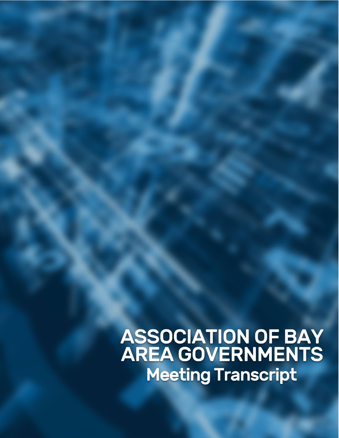**ASSOCIATION OF BAY<br>AREA GOVERNMENTS** Meeting Transcript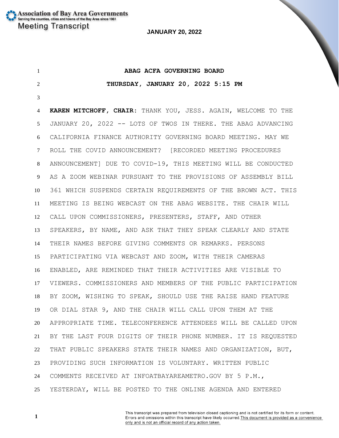**ABAG ACFA GOVERNING BOARD THURSDAY, JANUARY 20, 2022 5:15 PM KAREN MITCHOFF, CHAIR:** THANK YOU, JESS. AGAIN, WELCOME TO THE JANUARY 20, 2022 -- LOTS OF TWOS IN THERE. THE ABAG ADVANCING CALIFORNIA FINANCE AUTHORITY GOVERNING BOARD MEETING. MAY WE ROLL THE COVID ANNOUNCEMENT? [RECORDED MEETING PROCEDURES ANNOUNCEMENT] DUE TO COVID-19, THIS MEETING WILL BE CONDUCTED AS A ZOOM WEBINAR PURSUANT TO THE PROVISIONS OF ASSEMBLY BILL 361 WHICH SUSPENDS CERTAIN REQUIREMENTS OF THE BROWN ACT. THIS MEETING IS BEING WEBCAST ON THE ABAG WEBSITE. THE CHAIR WILL CALL UPON COMMISSIONERS, PRESENTERS, STAFF, AND OTHER SPEAKERS, BY NAME, AND ASK THAT THEY SPEAK CLEARLY AND STATE THEIR NAMES BEFORE GIVING COMMENTS OR REMARKS. PERSONS PARTICIPATING VIA WEBCAST AND ZOOM, WITH THEIR CAMERAS ENABLED, ARE REMINDED THAT THEIR ACTIVITIES ARE VISIBLE TO VIEWERS. COMMISSIONERS AND MEMBERS OF THE PUBLIC PARTICIPATION BY ZOOM, WISHING TO SPEAK, SHOULD USE THE RAISE HAND FEATURE OR DIAL STAR 9, AND THE CHAIR WILL CALL UPON THEM AT THE APPROPRIATE TIME. TELECONFERENCE ATTENDEES WILL BE CALLED UPON BY THE LAST FOUR DIGITS OF THEIR PHONE NUMBER. IT IS REQUESTED THAT PUBLIC SPEAKERS STATE THEIR NAMES AND ORGANIZATION, BUT, PROVIDING SUCH INFORMATION IS VOLUNTARY. WRITTEN PUBLIC COMMENTS RECEIVED AT INFOATBAYAREAMETRO.GOV BY 5 P.M., YESTERDAY, WILL BE POSTED TO THE ONLINE AGENDA AND ENTERED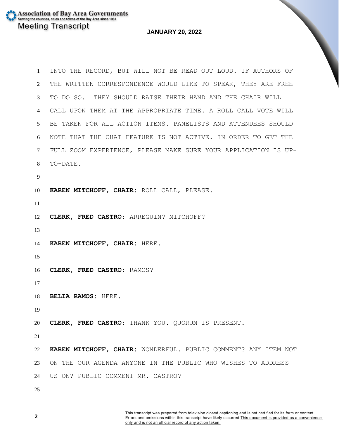**Association of Bay Area Governments** Serving the counties, cities and towns of the Bay Area since 1961 **Meeting Transcript** 

## **JANUARY 20, 2022**

 INTO THE RECORD, BUT WILL NOT BE READ OUT LOUD. IF AUTHORS OF THE WRITTEN CORRESPONDENCE WOULD LIKE TO SPEAK, THEY ARE FREE TO DO SO. THEY SHOULD RAISE THEIR HAND AND THE CHAIR WILL CALL UPON THEM AT THE APPROPRIATE TIME. A ROLL CALL VOTE WILL BE TAKEN FOR ALL ACTION ITEMS. PANELISTS AND ATTENDEES SHOULD NOTE THAT THE CHAT FEATURE IS NOT ACTIVE. IN ORDER TO GET THE FULL ZOOM EXPERIENCE, PLEASE MAKE SURE YOUR APPLICATION IS UP- TO-DATE. **KAREN MITCHOFF, CHAIR:** ROLL CALL, PLEASE. **CLERK, FRED CASTRO:** ARREGUIN? MITCHOFF? **KAREN MITCHOFF, CHAIR:** HERE. **CLERK, FRED CASTRO:** RAMOS? **BELIA RAMOS:** HERE. **CLERK, FRED CASTRO:** THANK YOU. QUORUM IS PRESENT. **KAREN MITCHOFF, CHAIR:** WONDERFUL. PUBLIC COMMENT? ANY ITEM NOT ON THE OUR AGENDA ANYONE IN THE PUBLIC WHO WISHES TO ADDRESS US ON? PUBLIC COMMENT MR. CASTRO?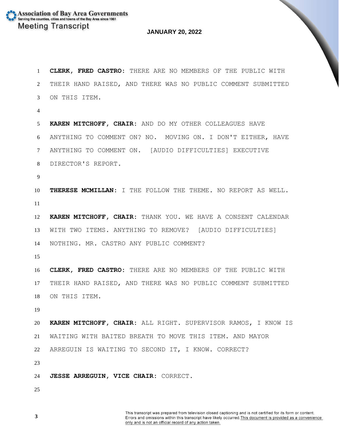**CLERK, FRED CASTRO:** THERE ARE NO MEMBERS OF THE PUBLIC WITH THEIR HAND RAISED, AND THERE WAS NO PUBLIC COMMENT SUBMITTED ON THIS ITEM. **KAREN MITCHOFF, CHAIR:** AND DO MY OTHER COLLEAGUES HAVE ANYTHING TO COMMENT ON? NO. MOVING ON. I DON'T EITHER, HAVE ANYTHING TO COMMENT ON. [AUDIO DIFFICULTIES] EXECUTIVE DIRECTOR'S REPORT. **THERESE MCMILLAN:** I THE FOLLOW THE THEME. NO REPORT AS WELL. **KAREN MITCHOFF, CHAIR:** THANK YOU. WE HAVE A CONSENT CALENDAR WITH TWO ITEMS. ANYTHING TO REMOVE? [AUDIO DIFFICULTIES] NOTHING. MR. CASTRO ANY PUBLIC COMMENT? **CLERK, FRED CASTRO:** THERE ARE NO MEMBERS OF THE PUBLIC WITH THEIR HAND RAISED, AND THERE WAS NO PUBLIC COMMENT SUBMITTED ON THIS ITEM. **KAREN MITCHOFF, CHAIR:** ALL RIGHT. SUPERVISOR RAMOS, I KNOW IS WAITING WITH BAITED BREATH TO MOVE THIS ITEM. AND MAYOR ARREGUIN IS WAITING TO SECOND IT, I KNOW. CORRECT? **JESSE ARREGUIN, VICE CHAIR:** CORRECT.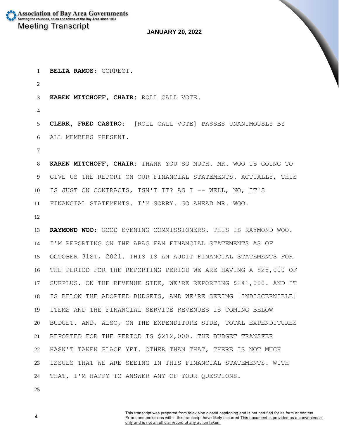**BELIA RAMOS:** CORRECT.

**KAREN MITCHOFF, CHAIR:** ROLL CALL VOTE.

 **CLERK, FRED CASTRO:** [ROLL CALL VOTE] PASSES UNANIMOUSLY BY ALL MEMBERS PRESENT.

 **KAREN MITCHOFF, CHAIR:** THANK YOU SO MUCH. MR. WOO IS GOING TO GIVE US THE REPORT ON OUR FINANCIAL STATEMENTS. ACTUALLY, THIS IS JUST ON CONTRACTS, ISN'T IT? AS I -- WELL, NO, IT'S FINANCIAL STATEMENTS. I'M SORRY. GO AHEAD MR. WOO.

 **RAYMOND WOO:** GOOD EVENING COMMISSIONERS. THIS IS RAYMOND WOO. I'M REPORTING ON THE ABAG FAN FINANCIAL STATEMENTS AS OF OCTOBER 31ST, 2021. THIS IS AN AUDIT FINANCIAL STATEMENTS FOR THE PERIOD FOR THE REPORTING PERIOD WE ARE HAVING A \$28,000 OF SURPLUS. ON THE REVENUE SIDE, WE'RE REPORTING \$241,000. AND IT IS BELOW THE ADOPTED BUDGETS, AND WE'RE SEEING [INDISCERNIBLE] ITEMS AND THE FINANCIAL SERVICE REVENUES IS COMING BELOW BUDGET. AND, ALSO, ON THE EXPENDITURE SIDE, TOTAL EXPENDITURES REPORTED FOR THE PERIOD IS \$212,000. THE BUDGET TRANSFER HASN'T TAKEN PLACE YET. OTHER THAN THAT, THERE IS NOT MUCH ISSUES THAT WE ARE SEEING IN THIS FINANCIAL STATEMENTS. WITH THAT, I'M HAPPY TO ANSWER ANY OF YOUR QUESTIONS.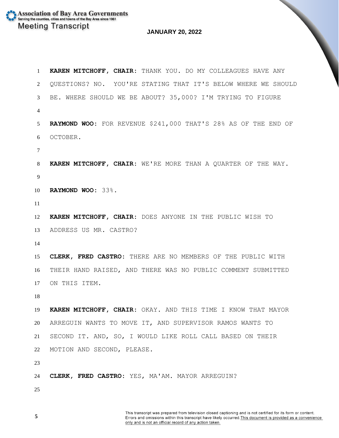**KAREN MITCHOFF, CHAIR:** THANK YOU. DO MY COLLEAGUES HAVE ANY QUESTIONS? NO. YOU'RE STATING THAT IT'S BELOW WHERE WE SHOULD BE. WHERE SHOULD WE BE ABOUT? 35,000? I'M TRYING TO FIGURE **RAYMOND WOO:** FOR REVENUE \$241,000 THAT'S 28% AS OF THE END OF OCTOBER. **KAREN MITCHOFF, CHAIR:** WE'RE MORE THAN A QUARTER OF THE WAY. **RAYMOND WOO:** 33%. **KAREN MITCHOFF, CHAIR:** DOES ANYONE IN THE PUBLIC WISH TO ADDRESS US MR. CASTRO? **CLERK, FRED CASTRO:** THERE ARE NO MEMBERS OF THE PUBLIC WITH THEIR HAND RAISED, AND THERE WAS NO PUBLIC COMMENT SUBMITTED ON THIS ITEM. **KAREN MITCHOFF, CHAIR:** OKAY. AND THIS TIME I KNOW THAT MAYOR ARREGUIN WANTS TO MOVE IT, AND SUPERVISOR RAMOS WANTS TO SECOND IT. AND, SO, I WOULD LIKE ROLL CALL BASED ON THEIR MOTION AND SECOND, PLEASE. **CLERK, FRED CASTRO:** YES, MA'AM. MAYOR ARREGUIN?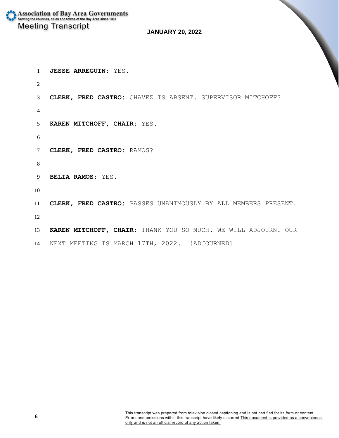**Association of Bay Area Governments** Serving the counties, cities and towns of the Bay Area since 1961 **Meeting Transcript** 

## **JANUARY 20, 2022**

 $\overline{\phantom{0}}$ 

 **JESSE ARREGUIN:** YES. **CLERK, FRED CASTRO:** CHAVEZ IS ABSENT. SUPERVISOR MITCHOFF? **KAREN MITCHOFF, CHAIR:** YES. **CLERK, FRED CASTRO:** RAMOS? **BELIA RAMOS:** YES. **CLERK, FRED CASTRO:** PASSES UNANIMOUSLY BY ALL MEMBERS PRESENT. **KAREN MITCHOFF, CHAIR:** THANK YOU SO MUCH. WE WILL ADJOURN. OUR

NEXT MEETING IS MARCH 17TH, 2022. [ADJOURNED]